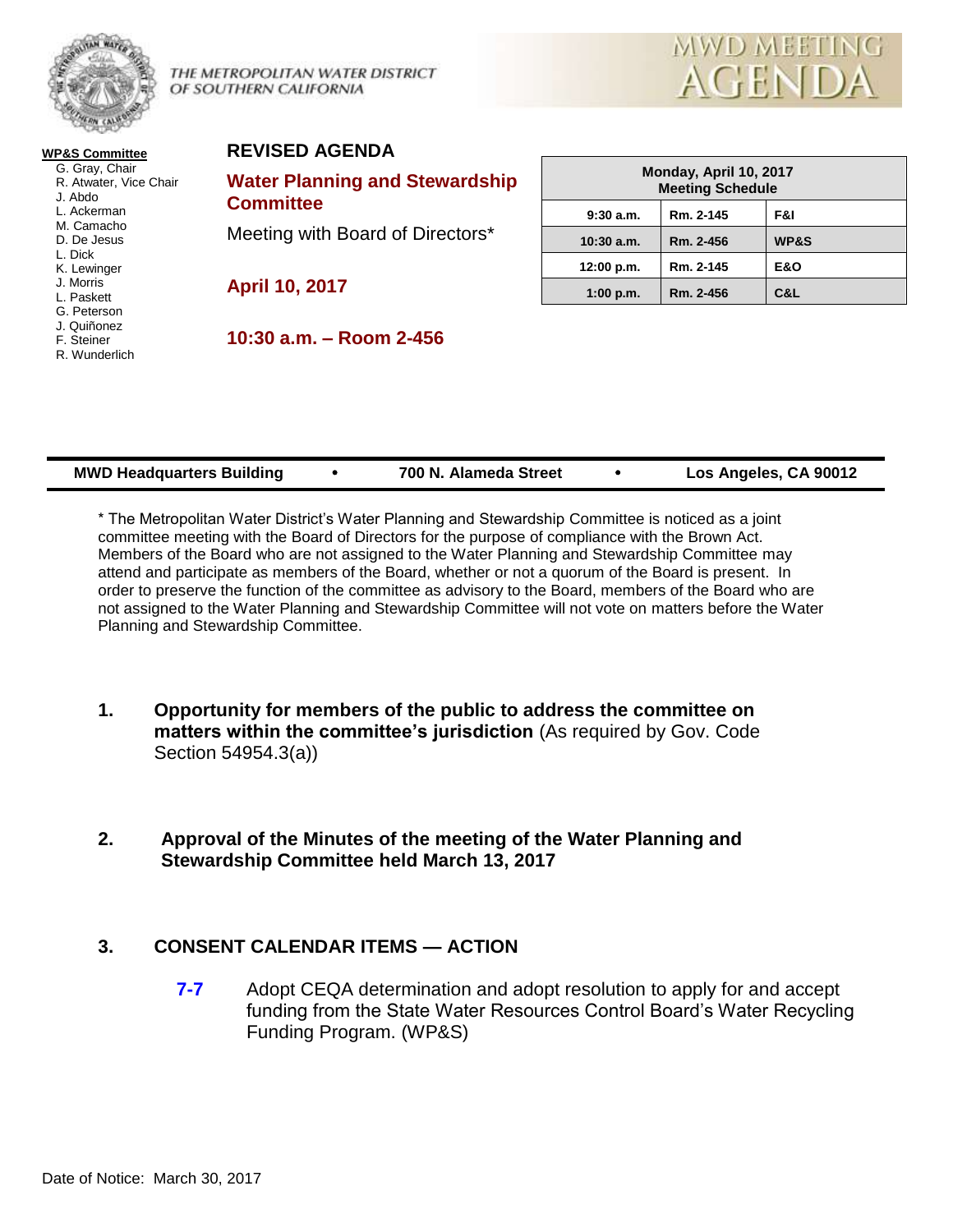

THE METROPOLITAN WATER DISTRICT OF SOUTHERN CALIFORNIA



#### **WP&S Committee** G. Gray, Chair R. Atwater, Vice Chair J. Abdo L. Ackerman M. Camacho D. De Jesus L. Dick K. Lewinger J. Morris L. Paskett G. Peterson J. Quiñonez F. Steiner R. Wunderlich

# **REVISED AGENDA**

**Water Planning and Stewardship Committee** Meeting with Board of Directors\*

**April 10, 2017**

**10:30 a.m. – Room 2-456**

| Monday, April 10, 2017<br><b>Meeting Schedule</b> |           |                 |
|---------------------------------------------------|-----------|-----------------|
| 9:30a.m.                                          | Rm. 2-145 | F&I             |
| $10:30$ a.m.                                      | Rm. 2-456 | <b>WP&amp;S</b> |
| 12:00 p.m.                                        | Rm. 2-145 | <b>E&amp;O</b>  |
| 1:00 p.m.                                         | Rm. 2-456 | C&L             |

| Los Angeles, CA 90012<br>700 N. Alameda Street<br><b>MWD Headquarters Building</b> |
|------------------------------------------------------------------------------------|
|------------------------------------------------------------------------------------|

\* The Metropolitan Water District's Water Planning and Stewardship Committee is noticed as a joint committee meeting with the Board of Directors for the purpose of compliance with the Brown Act. Members of the Board who are not assigned to the Water Planning and Stewardship Committee may attend and participate as members of the Board, whether or not a quorum of the Board is present. In order to preserve the function of the committee as advisory to the Board, members of the Board who are not assigned to the Water Planning and Stewardship Committee will not vote on matters before the Water Planning and Stewardship Committee.

- **1. Opportunity for members of the public to address the committee on matters within the committee's jurisdiction** (As required by Gov. Code Section 54954.3(a))
- **2. Approval of the Minutes of the meeting of the Water Planning and Stewardship Committee held March 13, 2017**

# **3. CONSENT CALENDAR ITEMS — ACTION**

**7-7** Adopt CEQA determination and adopt resolution to apply for and accept funding from the State Water Resources Control Board's Water Recycling Funding Program. (WP&S)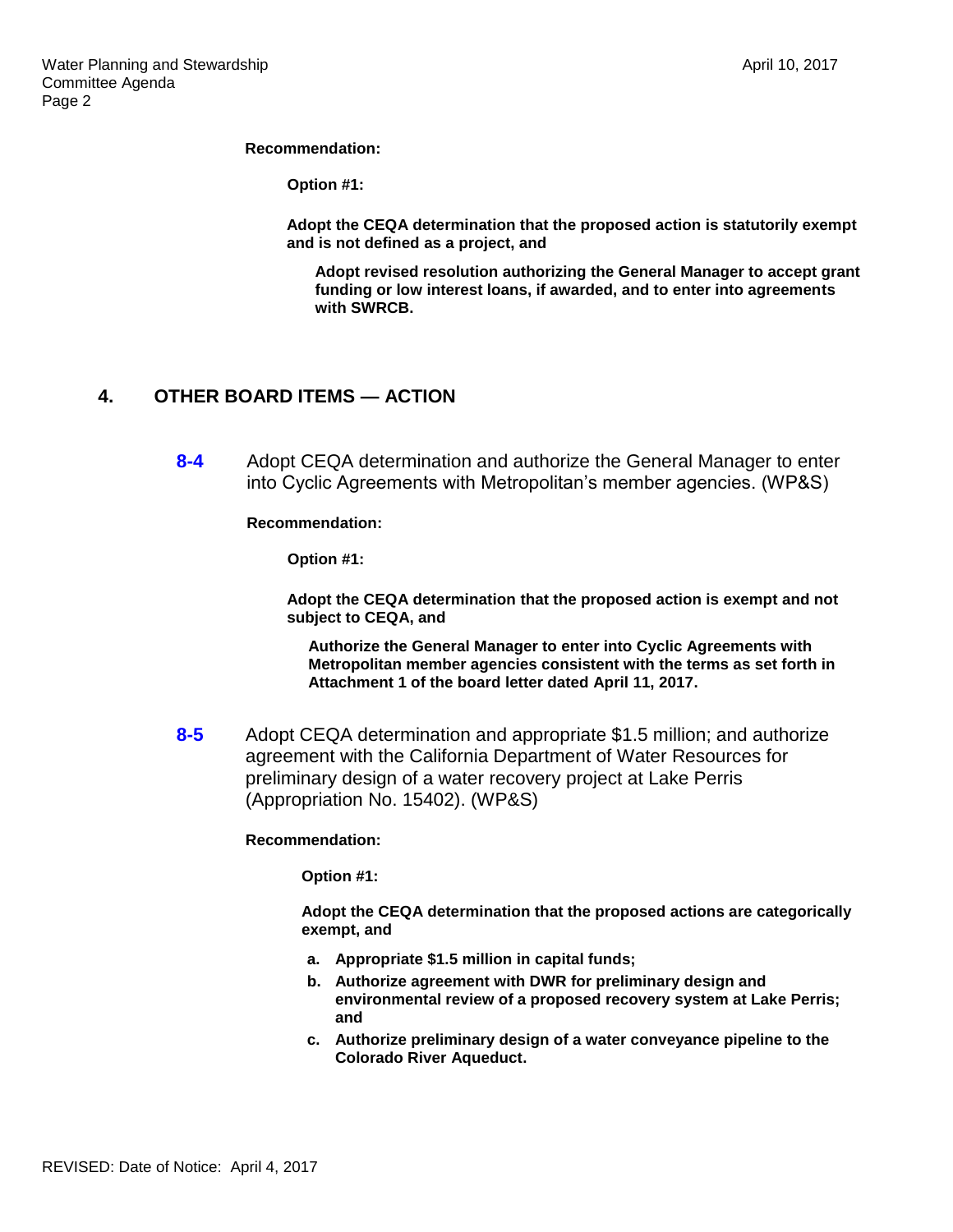#### **Recommendation:**

**Option #1:**

**Adopt the CEQA determination that the proposed action is statutorily exempt and is not defined as a project, and** 

**Adopt revised resolution authorizing the General Manager to accept grant funding or low interest loans, if awarded, and to enter into agreements with SWRCB.**

# **4. OTHER BOARD ITEMS — ACTION**

**8-4** Adopt CEQA determination and authorize the General Manager to enter into Cyclic Agreements with Metropolitan's member agencies. (WP&S)

**Recommendation:**

**Option #1:**

**Adopt the CEQA determination that the proposed action is exempt and not subject to CEQA, and**

**Authorize the General Manager to enter into Cyclic Agreements with Metropolitan member agencies consistent with the terms as set forth in Attachment 1 of the board letter dated April 11, 2017.**

**8-5** Adopt CEQA determination and appropriate \$1.5 million; and authorize agreement with the California Department of Water Resources for preliminary design of a water recovery project at Lake Perris (Appropriation No. 15402). (WP&S)

**Recommendation:**

**Option #1:**

**Adopt the CEQA determination that the proposed actions are categorically exempt, and**

- **a. Appropriate \$1.5 million in capital funds;**
- **b. Authorize agreement with DWR for preliminary design and environmental review of a proposed recovery system at Lake Perris; and**
- **c. Authorize preliminary design of a water conveyance pipeline to the Colorado River Aqueduct.**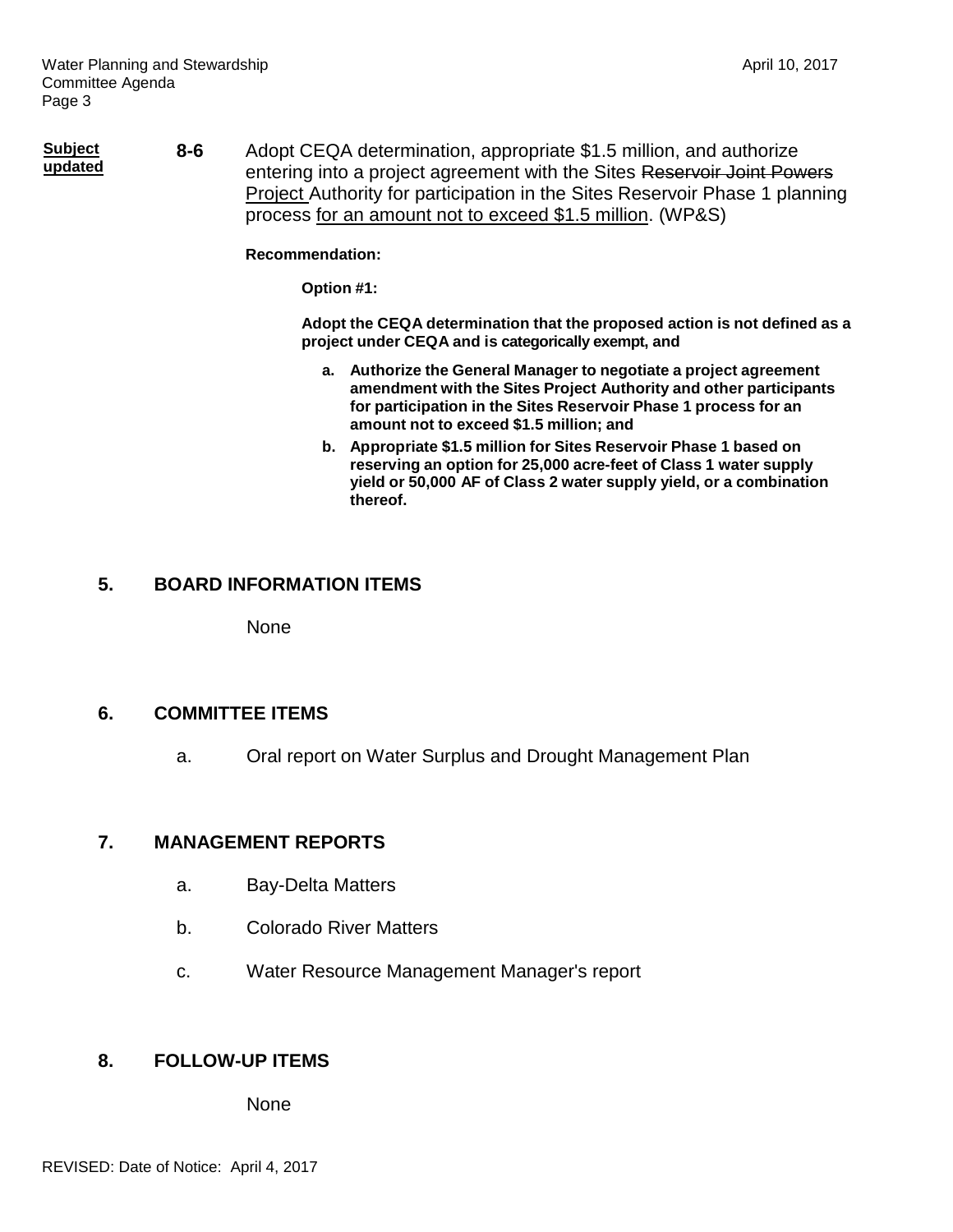**Subject updated 8-6** Adopt CEQA determination, appropriate \$1.5 million, and authorize entering into a project agreement with the Sites Reservoir Joint Powers Project Authority for participation in the Sites Reservoir Phase 1 planning process for an amount not to exceed \$1.5 million. (WP&S)

#### **Recommendation:**

**Option #1:**

**Adopt the CEQA determination that the proposed action is not defined as a project under CEQA and is categorically exempt, and**

- **a. Authorize the General Manager to negotiate a project agreement amendment with the Sites Project Authority and other participants for participation in the Sites Reservoir Phase 1 process for an amount not to exceed \$1.5 million; and**
- **b. Appropriate \$1.5 million for Sites Reservoir Phase 1 based on reserving an option for 25,000 acre-feet of Class 1 water supply yield or 50,000 AF of Class 2 water supply yield, or a combination thereof.**

# **5. BOARD INFORMATION ITEMS**

None

# **6. COMMITTEE ITEMS**

a. Oral report on Water Surplus and Drought Management Plan

# **7. MANAGEMENT REPORTS**

- a. Bay-Delta Matters
- b. Colorado River Matters
- c. Water Resource Management Manager's report

# **8. FOLLOW-UP ITEMS**

None